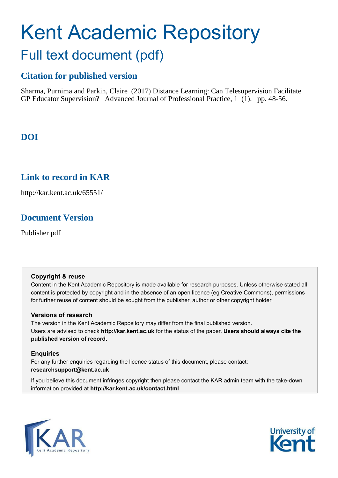# Kent Academic Repository Full text document (pdf)

## **Citation for published version**

Sharma, Purnima and Parkin, Claire (2017) Distance Learning: Can Telesupervision Facilitate GP Educator Supervision? Advanced Journal of Professional Practice, 1 (1). pp. 48-56.

## **DOI**

## **Link to record in KAR**

http://kar.kent.ac.uk/65551/

## **Document Version**

Publisher pdf

#### **Copyright & reuse**

Content in the Kent Academic Repository is made available for research purposes. Unless otherwise stated all content is protected by copyright and in the absence of an open licence (eg Creative Commons), permissions for further reuse of content should be sought from the publisher, author or other copyright holder.

#### **Versions of research**

The version in the Kent Academic Repository may differ from the final published version. Users are advised to check **http://kar.kent.ac.uk** for the status of the paper. **Users should always cite the published version of record.**

#### **Enquiries**

For any further enquiries regarding the licence status of this document, please contact: **researchsupport@kent.ac.uk**

If you believe this document infringes copyright then please contact the KAR admin team with the take-down information provided at **http://kar.kent.ac.uk/contact.html**



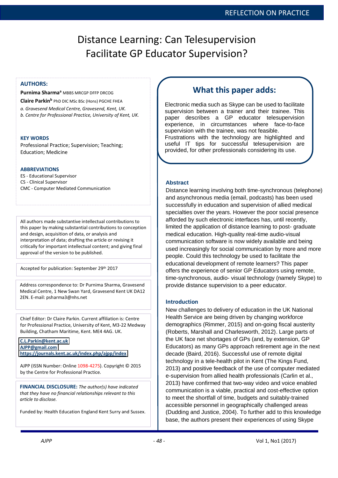## Distance Learning: Can Telesupervision Facilitate GP Educator Supervision?

**Purnima Sharma<sup>a</sup>** MBBS MRCGP DFFP DRCOG

**Claire Parkin<sup>b</sup>** PhD DIC MSc BSc (Hons) PGCHE FHEA *a. Gravesend Medical Centre, Gravesend, Kent, UK. b. Centre for Professional Practice, University of Kent, UK.* 

#### **KEY WORDS**

Professional Practice; Supervision; Teaching; Education; Medicine

#### **ABBREVIATIONS**

ES - Educational Supervisor CS - Clinical Supervisor CMC - Computer Mediated Communication

All authors made substantive intellectual contributions to this paper by making substantial contributions to conception and design, acquisition of data, or analysis and interpretation of data; drafting the article or revising it critically for important intellectual content; and giving final approval of the version to be published.

Accepted for publication: September 29th 2017

Address correspondence to: Dr Purnima Sharma, Gravesend Medical Centre, 1 New Swan Yard, Gravesend Kent UK DA12 2EN. E-mail: psharma3@nhs.net

Chief Editor: Dr Claire Parkin. Current affiliation is: Centre for Professional Practice, University of Kent, M3-22 Medway Building, Chatham Maritime, Kent. ME4 4AG. UK.

#### **[C.L.Parkin@kent.ac.uk](mailto:C.L.Parkin@kent.ac.uk)**

**[AJPP@gmail.com](mailto:AJPP@gmail.com)** 

**<https://journals.kent.ac.uk/index.php/ajpp/index>**

AJPP (ISSN Number: Online 1098-4275). Copyright © 2015 by the Centre for Professional Practice.

**FINANCIAL DISCLOSURE:** *The author(s) have indicated that they have no financial relationships relevant to this article to disclose.* 

Funded by: Health Education England Kent Surry and Sussex.

### **What this paper adds:** AUTHORS: THE POST STATE OF THE POST STATE OF THE POST STATE OF THE POST STATE OF THE POST STATE OF THE POST STATE OF THE POST OF THE POST OF THE POST OF THE POST OF THE POST OF THE POST OF THE POST OF THE POST OF THE PO

Electronic media such as Skype can be used to facilitate supervision between a trainer and their trainee. This paper describes a GP educator telesupervision experience, in circumstances where face-to-face supervision with the trainee, was not feasible. Frustrations with the technology are highlighted and useful IT tips for successful telesupervision are provided, for other professionals considering its use.

#### **Abstract**

Distance learning involving both time-synchronous (telephone) and asynchronous media (email, podcasts) has been used successfully in education and supervision of allied medical specialties over the years. However the poor social presence afforded by such electronic interfaces has, until recently, limited the application of distance learning to post- graduate medical education. High-quality real-time audio-visual communication software is now widely available and being used increasingly for social communication by more and more people. Could this technology be used to facilitate the educational development of remote learners? This paper offers the experience of senior GP Educators using remote, time-synchronous, audio- visual technology (namely Skype) to provide distance supervision to a peer educator.

#### **Introduction**

New challenges to delivery of education in the UK National Health Service are being driven by changing workforce demographics (Rimmer, 2015) and on-going fiscal austerity (Roberts, Marshall and Charlesworth, 2012). Large parts of the UK face net shortages of GPs (and, by extension, GP Educators) as many GPs approach retirement age in the next decade (Baird, 2016). Successful use of remote digital technology in a tele-health pilot in Kent (The Kings Fund, 2013) and positive feedback of the use of computer mediated e-supervision from allied health professionals (Carlin et al., 2013) have confirmed that two-way video and voice enabled communication is a viable, practical and cost-effective option to meet the shortfall of time, budgets and suitably-trained accessible personnel in geographically challenged areas (Dudding and Justice, 2004). To further add to this knowledge base, the authors present their experiences of using Skype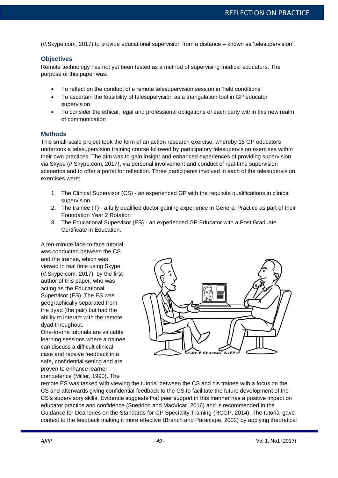(//.Skype.com, 2017) to provide educational supervision from a distance – known as 'telesupervision'.

#### **Objectives**

Remote technology has not yet been tested as a method of supervising medical educators. The purpose of this paper was:

- To reflect on the conduct of a remote telesupervision session in 'field conditions'
- To ascertain the feasibility of telesupervision as a triangulation tool in GP educator supervision
- To consider the ethical, legal and professional obligations of each party within this new realm of communication

#### **Methods**

This small-scale project took the form of an action research exercise, whereby 15 GP educators undertook a telesupervision training course followed by participatory telesupervision exercises within their own practices. The aim was to gain insight and enhanced experiences of providing supervision via Skype (//.Skype.com, 2017), via personal involvement and conduct of real-time supervision scenarios and to offer a portal for reflection. Three participants involved in each of the telesupervision exercises were:

- 1. The Clinical Supervisor (CS) an experienced GP with the requisite qualifications in clinical supervision
- 2. The trainee (T) a fully qualified doctor gaining experience in General Practice as part of their Foundation Year 2 Rotation
- 3. The Educational Supervisor (ES) an experienced GP Educator with a Post Graduate Certificate in Education.

A ten-minute face-to-face tutorial was conducted between the CS and the trainee, which was viewed in real time using Skype (//.Skype.com, 2017), by the first author of this paper, who was acting as the Educational Supervisor (ES). The ES was geographically separated from the dyad (the pair) but had the ability to interact with the remote dyad throughout.

One-to-one tutorials are valuable learning sessions where a trainee can discuss a difficult clinical case and receive feedback in a safe, confidential setting and are proven to enhance learner competence (Miller, 1990). The



remote ES was tasked with viewing the tutorial between the CS and his trainee with a focus on the CS and afterwards giving confidential feedback to the CS to facilitate the future development of the CS's supervisory skills. Evidence suggests that peer support in this manner has a positive impact on educator practice and confidence (Sneddon and MacVicar, 2016) and is recommended in the Guidance for Deaneries on the Standards for GP Speciality Training (RCGP, 2014). The tutorial gave context to the feedback making it more effective (Branch and Paranjape, 2002) by applying theoretical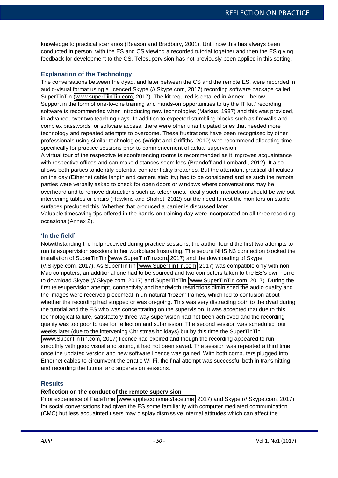knowledge to practical scenarios (Reason and Bradbury, 2001). Until now this has always been conducted in person, with the ES and CS viewing a recorded tutorial together and then the ES giving feedback for development to the CS. Telesupervision has not previously been applied in this setting.

#### **Explanation of the Technology**

The conversations between the dyad, and later between the CS and the remote ES, were recorded in audio-visual format using a licenced Skype (//.Skype.com, 2017) recording software package called SuperTinTin [\(www.superTiinTin.com,](http://www.supertiintin.com/) 2017). The kit required is detailed in Annex 1 below. Support in the form of one-to-one training and hands-on opportunities to try the IT kit / recording software is recommended when introducing new technologies (Markus, 1987) and this was provided, in advance, over two teaching days. In addition to expected stumbling blocks such as firewalls and complex passwords for software access, there were other unanticipated ones that needed more technology and repeated attempts to overcome. These frustrations have been recognised by other professionals using similar technologies (Wright and Griffiths, 2010) who recommend allocating time specifically for practice sessions prior to commencement of actual supervision.

A virtual tour of the respective teleconferencing rooms is recommended as it improves acquaintance with respective offices and can make distances seem less (Brandoff and Lombardi, 2012). It also allows both parties to identify potential confidentiality breaches. But the attendant practical difficulties on the day (Ethernet cable length and camera stability) had to be considered and as such the remote parties were verbally asked to check for open doors or windows where conversations may be overheard and to remove distractions such as telephones. Ideally such interactions should be without intervening tables or chairs (Hawkins and Shohet, 2012) but the need to rest the monitors on stable surfaces precluded this. Whether that produced a barrier is discussed later.

Valuable timesaving tips offered in the hands-on training day were incorporated on all three recording occasions (Annex 2).

#### **'In the field'**

Notwithstanding the help received during practice sessions, the author found the first two attempts to run telesupervision sessions in her workplace frustrating. The secure NHS N3 connection blocked the installation of SuperTinTin [\(www.SuperTinTin.com,](http://www.supertintin.com/) 2017) and the downloading of Skype (//.Skype.com, 2017). As SuperTinTin [\(www.SuperTinTin.com,](http://www.supertintin.com/) 2017) was compatible only with non-Mac computers, an additional one had to be sourced and two computers taken to the ES's own home to download Skype (//.Skype.com, 2017) and SuperTinTin [\(www.SuperTinTin.com,](http://www.supertintin.com/) 2017). During the first telesupervision attempt, connectivity and bandwidth restrictions diminished the audio quality and the images were received piecemeal in un-natural 'frozen' frames, which led to confusion about whether the recording had stopped or was on-going. This was very distracting both to the dyad during the tutorial and the ES who was concentrating on the supervision. It was accepted that due to this technological failure, satisfactory three-way supervision had not been achieved and the recording quality was too poor to use for reflection and submission. The second session was scheduled four weeks later (due to the intervening Christmas holidays) but by this time the SuperTinTin [\(www.SuperTinTin.com,](http://www.supertintin.com/) 2017) licence had expired and though the recording appeared to run smoothly with good visual and sound, it had not been saved. The session was repeated a third time once the updated version and new software licence was gained. With both computers plugged into Ethernet cables to circumvent the erratic Wi-Fi, the final attempt was successful both in transmitting and recording the tutorial and supervision sessions.

#### **Results**

#### **Reflection on the conduct of the remote supervision**

Prior experience of FaceTime [\(www.apple.com/mac/facetime,](http://www.apple.com/mac/facetime) 2017) and Skype (//.Skype.com, 2017) for social conversations had given the ES some familiarity with computer mediated communication (CMC) but less acquainted users may display dismissive internal attitudes which can affect the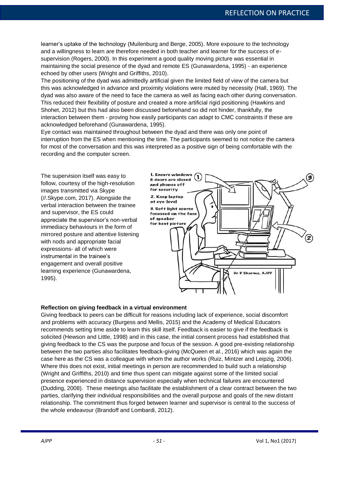learner's uptake of the technology (Muilenburg and Berge, 2005). More exposure to the technology and a willingness to learn are therefore needed in both teacher and learner for the success of esupervision (Rogers, 2000). In this experiment a good quality moving picture was essential in maintaining the social presence of the dyad and remote ES (Gunawardena, 1995) - an experience echoed by other users (Wright and Griffiths, 2010).

The positioning of the dyad was admittedly artificial given the limited field of view of the camera but this was acknowledged in advance and proximity violations were muted by necessity (Hall, 1969). The dyad was also aware of the need to face the camera as well as facing each other during conversation. This reduced their flexibility of posture and created a more artificial rigid positioning (Hawkins and Shohet, 2012) but this had also been discussed beforehand so did not hinder, thankfully, the interaction between them - proving how easily participants can adapt to CMC constraints if these are acknowledged beforehand (Gunawardena, 1995).

Eye contact was maintained throughout between the dyad and there was only one point of interruption from the ES when mentioning the time. The participants seemed to not notice the camera for most of the conversation and this was interpreted as a positive sign of being comfortable with the recording and the computer screen.

The supervision itself was easy to follow, courtesy of the high-resolution images transmitted via Skype (//.Skype.com, 2017). Alongside the verbal interaction between the trainee and supervisor, the ES could appreciate the supervisor's non-verbal immediacy behaviours in the form of mirrored posture and attentive listening with nods and appropriate facial expressions- all of which were instrumental in the trainee's engagement and overall positive learning experience (Gunawardena, 1995).



#### **Reflection on giving feedback in a virtual environment**

Giving feedback to peers can be difficult for reasons including lack of experience, social discomfort and problems with accuracy (Burgess and Mellis, 2015) and the Academy of Medical Educators recommends setting time aside to learn this skill itself. Feedback is easier to give if the feedback is solicited (Hewson and Little, 1998) and in this case, the initial consent process had established that giving feedback to the CS was the purpose and focus of the session. A good pre-existing relationship between the two parties also facilitates feedback-giving (McQueen et al., 2016) which was again the case here as the CS was a colleague with whom the author works (Ruiz, Mintzer and Leipzig, 2006). Where this does not exist, initial meetings in person are recommended to build such a relationship (Wright and Griffiths, 2010) and time thus spent can mitigate against some of the limited social presence experienced in distance supervision especially when technical failures are encountered (Dudding, 2008). These meetings also facilitate the establishment of a clear contract between the two parties, clarifying their individual responsibilities and the overall purpose and goals of the new distant relationship. The commitment thus forged between learner and supervisor is central to the success of the whole endeavour (Brandoff and Lombardi, 2012).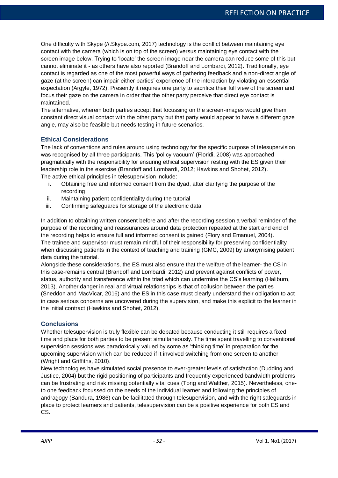One difficulty with Skype (//.Skype.com, 2017) technology is the conflict between maintaining eye contact with the camera (which is on top of the screen) versus maintaining eye contact with the screen image below. Trying to 'locate' the screen image near the camera can reduce some of this but cannot eliminate it - as others have also reported (Brandoff and Lombardi, 2012). Traditionally, eye contact is regarded as one of the most powerful ways of gathering feedback and a non-direct angle of gaze (at the screen) can impair either parties' experience of the interaction by violating an essential expectation (Argyle, 1972). Presently it requires one party to sacrifice their full view of the screen and focus their gaze on the camera in order that the other party perceive that direct eye contact is maintained.

The alternative, wherein both parties accept that focussing on the screen-images would give them constant direct visual contact with the other party but that party would appear to have a different gaze angle, may also be feasible but needs testing in future scenarios.

#### **Ethical Considerations**

The lack of conventions and rules around using technology for the specific purpose of telesupervision was recognised by all three participants. This 'policy vacuum' (Floridi, 2008) was approached pragmatically with the responsibility for ensuring ethical supervision resting with the ES given their leadership role in the exercise (Brandoff and Lombardi, 2012; Hawkins and Shohet, 2012). The active ethical principles in telesupervision include:

- i. Obtaining free and informed consent from the dyad, after clarifying the purpose of the recording
- ii. Maintaining patient confidentiality during the tutorial
- iii. Confirming safeguards for storage of the electronic data.

In addition to obtaining written consent before and after the recording session a verbal reminder of the purpose of the recording and reassurances around data protection repeated at the start and end of the recording helps to ensure full and informed consent is gained (Flory and Emanuel, 2004). The trainee and supervisor must remain mindful of their responsibility for preserving confidentiality when discussing patients in the context of teaching and training (GMC, 2009) by anonymising patient data during the tutorial.

Alongside these considerations, the ES must also ensure that the welfare of the learner- the CS in this case-remains central (Brandoff and Lombardi, 2012) and prevent against conflicts of power, status, authority and transference within the triad which can undermine the CS's learning (Haliburn, 2013). Another danger in real and virtual relationships is that of collusion between the parties (Sneddon and MacVicar, 2016) and the ES in this case must clearly understand their obligation to act in case serious concerns are uncovered during the supervision, and make this explicit to the learner in the initial contract (Hawkins and Shohet, 2012).

#### **Conclusions**

Whether telesupervision is truly flexible can be debated because conducting it still requires a fixed time and place for both parties to be present simultaneously. The time spent travelling to conventional supervision sessions was paradoxically valued by some as 'thinking time' in preparation for the upcoming supervision which can be reduced if it involved switching from one screen to another (Wright and Griffiths, 2010).

New technologies have simulated social presence to ever-greater levels of satisfaction (Dudding and Justice, 2004) but the rigid positioning of participants and frequently experienced bandwidth problems can be frustrating and risk missing potentially vital cues (Tong and Walther, 2015). Nevertheless, oneto one feedback focussed on the needs of the individual learner and following the principles of andragogy (Bandura, 1986) can be facilitated through telesupervision, and with the right safeguards in place to protect learners and patients, telesupervision can be a positive experience for both ES and CS.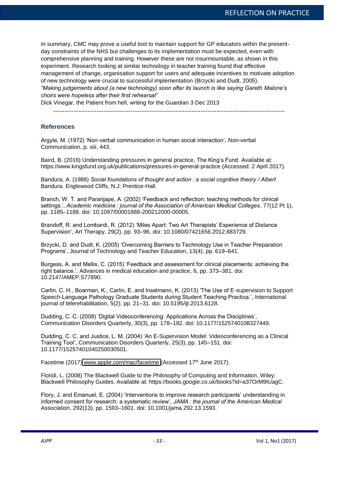In summary, CMC may prove a useful tool to maintain support for GP educators within the presentday constraints of the NHS but challenges to its implementation must be expected, even with comprehensive planning and training. However these are not insurmountable, as shown in this experiment. Research looking at similar technology in teacher training found that effective management of change, organisation support for users and adequate incentives to motivate adoption of new technology were crucial to successful implementation (Brzycki and Dudt, 2005). *"Making judgements about (a new technology) soon after its launch is like saying Gareth Malone's choirs were hopeless after their first rehearsal"* 

Dick Vinegar, the Patient from hell, writing for the Guardian 3 Dec 2013

------------------------------------------------------------------------------------------------------

#### **References**

Argyle, M. (1972) 'Non-verbal communication in human social interaction', Non-verbal Communication, p. xiii, 443.

Baird, B. (2016) Understanding pressures in general practice, The King's Fund. Available at: https://www.kingsfund.org.uk/publications/pressures-in-general-practice (Accessed: 2 April 2017).

Bandura, A. (1986) Social foundations of thought and action : a social cognitive theory / Albert Bandura. Englewood Cliffs, N.J: Prentice-Hall.

Branch, W. T. and Paranjape, A. (2002) 'Feedback and reflection: teaching methods for clinical settings.', *Academic medicine : journal of the Association of American Medical Colleges*, 77(12 Pt 1), pp. 1185–1188. doi: 10.1097/00001888-200212000-00005.

Brandoff, R. and Lombardi, R. (2012) 'Miles Apart: Two Art Therapists' Experience of Distance Supervision', Art Therapy, 29(2), pp. 93–96. doi: 10.1080/07421656.2012.683729.

Brzycki, D. and Dudt, K. (2005) 'Overcoming Barriers to Technology Use in Teacher Preparation Programs', Journal of Technology and Teacher Education, 13(4), pp. 619–641.

Burgess, A. and Mellis, C. (2015) 'Feedback and assessment for clinical placements: achieving the right balance.', Advances in medical education and practice, 6, pp. 373–381. doi: 10.2147/AMEP.S77890.

Carlin, C. H., Boarman, K., Carlin, E. and Inselmann, K. (2013) 'The Use of E-supervision to Support Speech-Language Pathology Graduate Students during Student Teaching Practica.', International journal of telerehabilitation, 5(2), pp. 21–31. doi: 10.5195/ijt.2013.6128.

Dudding, C. C. (2008) 'Digital Videoconferencing: Applications Across the Disciplines', Communication Disorders Quarterly, 30(3), pp. 178–182. doi: 10.1177/1525740108327449.

Dudding, C. C. and Justice, L. M. (2004) 'An E-Supervision Model: Videoconferencing as a Clinical Training Tool', Communication Disorders Quarterly, 25(3), pp. 145–151. doi: 10.1177/15257401040250030501.

Facetime (2017) [www.apple.com/mac/facetime](http://www.apple.com/mac/facetime) (Accessed 17<sup>th</sup> June 2017).

Floridi, L. (2008) The Blackwell Guide to the Philosophy of Computing and Information. Wiley: Blackwell Philosophy Guides. Available at: https://books.google.co.uk/books?id=a37OrM9IUagC.

Flory, J. and Emanuel, E. (2004) 'Interventions to improve research participants' understanding in informed consent for research: a systematic review', *JAMA: the journal of the American Medical* Association, 292(13), pp. 1593–1601. doi: 10.1001/jama.292.13.1593.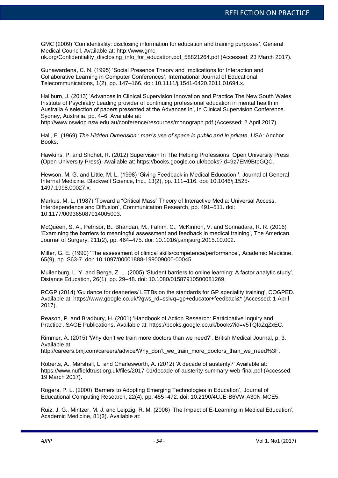GMC (2009) 'Confidentiality: disclosing information for education and training purposes', General Medical Council. Available at: http://www.gmc-

uk.org/Confidentiality\_disclosing\_info\_for\_education.pdf\_58821264.pdf (Accessed: 23 March 2017).

Gunawardena, C. N. (1995) 'Social Presence Theory and Implications for Interaction and Collaborative Learning in Computer Conferences', International Journal of Educational Telecommunications, 1(2), pp. 147–166. doi: 10.1111/j.1541-0420.2011.01694.x.

Haliburn, J. (2013) 'Advances in Clinical Supervision Innovation and Practice The New South Wales Institute of Psychiatry Leading provider of continuing professional education in mental health in Australia A selection of papers presented at the Advances in', in Clinical Supervision Conference. Sydney, Australia, pp. 4–6. Available at:

http://www.nswiop.nsw.edu.au/conference/resources/monograph.pdf (Accessed: 2 April 2017).

Hall, E. (1969) *The Hidden Dimension: man's use of space in public and in private*. USA: Anchor Books.

Hawkins, P. and Shohet, R. (2012) Supervision In The Helping Professions. Open University Press (Open University Press). Available at: https://books.google.co.uk/books?id=9z7EM9BtpGQC.

Hewson, M. G. and Little, M. L. (1998) 'Giving Feedback in Medical Education ', Journal of General Internal Medicine. Blackwell Science, Inc., 13(2), pp. 111–116. doi: 10.1046/j.1525- 1497.1998.00027.x.

Markus, M. L. (1987) 'Toward a "Critical Mass" Theory of Interactive Media: Universal Access, Interdependence and Diffusion', Communication Research, pp. 491–511. doi: 10.1177/009365087014005003.

McQueen, S. A., Petrisor, B., Bhandari, M., Fahim, C., McKinnon, V. and Sonnadara, R. R. (2016) 'Examining the barriers to meaningful assessment and feedback in medical training', The American Journal of Surgery, 211(2), pp. 464–475. doi: 10.1016/j.amjsurg.2015.10.002.

Miller, G. E. (1990) 'The assessment of clinical skills/competence/performance', Academic Medicine, 65(9), pp. S63-7. doi: 10.1097/00001888-199009000-00045.

Muilenburg, L. Y. and Berge, Z. L. (2005) 'Student barriers to online learning: A factor analytic study', Distance Education, 26(1), pp. 29–48. doi: 10.1080/01587910500081269.

RCGP (2014) 'Guidance for deaneries/ LETBs on the standards for GP speciality training', COGPED. Available at: https://www.google.co.uk/?gws\_rd=ssl#q=gp+educator+feedbacl&\* (Accessed: 1 April 2017).

Reason, P. and Bradbury, H. (2001) 'Handbook of Action Research: Participative Inquiry and Practice', SAGE Publications. Available at: https://books.google.co.uk/books?id=v5TQfaZqZxEC.

Rimmer, A. (2015) 'Why don't we train more doctors than we need?', British Medical Journal, p. 3. Available at:

http://careers.bmj.com/careers/advice/Why\_don't\_we\_train\_more\_doctors\_than\_we\_need%3F.

Roberts, A., Marshall, L. and Charlesworth, A. (2012) 'A decade of austerity?' Available at: https://www.nuffieldtrust.org.uk/files/2017-01/decade-of-austerity-summary-web-final.pdf (Accessed: 19 March 2017).

Rogers, P. L. (2000) 'Barriers to Adopting Emerging Technologies in Education', Journal of Educational Computing Research, 22(4), pp. 455–472. doi: 10.2190/4UJE-B6VW-A30N-MCE5.

Ruiz, J. G., Mintzer, M. J. and Leipzig, R. M. (2006) 'The Impact of E-Learning in Medical Education', Academic Medicine, 81(3). Available at: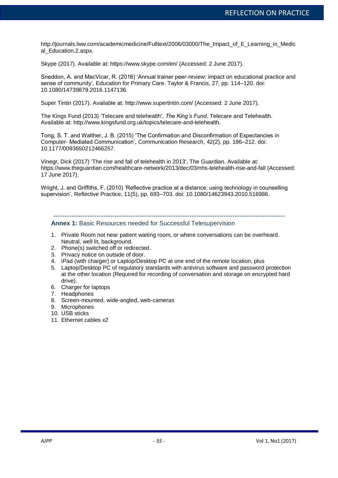http://journals.lww.com/academicmedicine/Fulltext/2006/03000/The\_Impact\_of\_E\_Learning\_in\_Medic al Education.2.aspx.

Skype (2017). Available at: https://www.skype.com/en/ (Accessed: 2 June 2017).

Sneddon, A. and MacVicar, R. (2016) 'Annual trainer peer-review: impact on educational practice and sense of community', Education for Primary Care. Taylor & Francis, 27, pp. 114–120. doi: 10.1080/14739879.2016.1147136.

Super Tintin (2017). Available at: http://www.supertintin.com/ (Accessed: 2 June 2017).

The Kings Fund (2013) 'Telecare and telehealth', *The King's Fund*, Telecare and Telehealth. Available at: http://www.kingsfund.org.uk/topics/telecare-and-telehealth.

Tong, S. T. and Walther, J. B. (2015) 'The Confirmation and Disconfirmation of Expectancies in Computer- Mediated Communication', Communication Research, 42(2), pp. 186–212. doi: 10.1177/0093650212466257.

Vinegr, Dick (2017) 'The rise and fall of telehealth in 2013', The Guardian. Available at: https://www.theguardian.com/healthcare-network/2013/dec/03/nhs-telehealth-rise-and-fall (Accessed: 17 June 2017).

Wright, J. and Griffiths, F. (2010) 'Reflective practice at a distance: using technology in counselling supervision', Reflective Practice, 11(5), pp. 693–703. doi: 10.1080/14623943.2010.516986.

------------------------------------------------------------------------------------------------------

#### **Annex 1:** Basic Resources needed for Successful Telesupervision

- 1. Private Room not near patient waiting room, or where conversations can be overheard. Neutral, well lit, background.
- 2. Phone(s) switched off or redirected.
- 3. Privacy notice on outside of door.
- 4. iPad (with charger) or Laptop/Desktop PC at one end of the remote location, plus
- 5. Laptop/Desktop PC of regulatory standards with antivirus software and password protection at the other location (Required for recording of conversation and storage on encrypted hard drive).
- 6. Charger for laptops
- 7. Headphones
- 8. Screen-mounted, wide-angled, web-cameras
- 9. Microphones
- 10. USB sticks
- 11. Ethernet cables x2